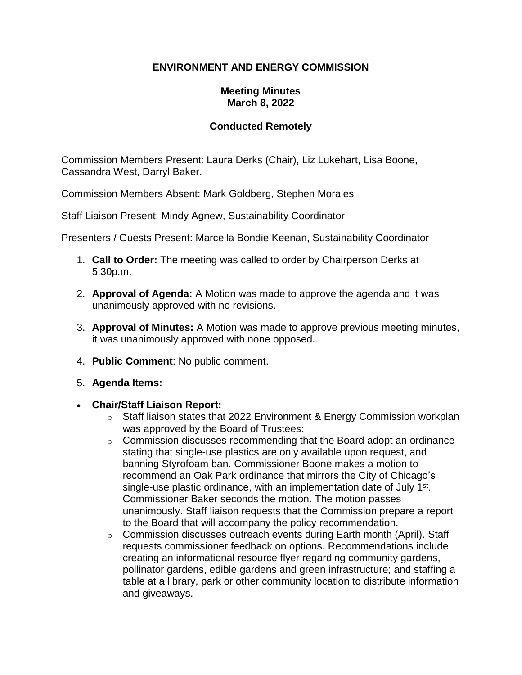# **ENVIRONMENT AND ENERGY COMMISSION**

## **Meeting Minutes March 8, 2022**

# **Conducted Remotely**

Commission Members Present: Laura Derks (Chair), Liz Lukehart, Lisa Boone, Cassandra West, Darryl Baker.

Commission Members Absent: Mark Goldberg, Stephen Morales

Staff Liaison Present: Mindy Agnew, Sustainability Coordinator

Presenters / Guests Present: Marcella Bondie Keenan, Sustainability Coordinator

- 1. **Call to Order:** The meeting was called to order by Chairperson Derks at 5:30p.m.
- 2. **Approval of Agenda:** A Motion was made to approve the agenda and it was unanimously approved with no revisions.
- 3. **Approval of Minutes:** A Motion was made to approve previous meeting minutes, it was unanimously approved with none opposed.
- 4. **Public Comment**: No public comment.
- 5. **Agenda Items:**
- **Chair/Staff Liaison Report:**
	- $\circ$  Staff liaison states that 2022 Environment & Energy Commission workplan was approved by the Board of Trustees:
	- $\circ$  Commission discusses recommending that the Board adopt an ordinance stating that single-use plastics are only available upon request, and banning Styrofoam ban. Commissioner Boone makes a motion to recommend an Oak Park ordinance that mirrors the City of Chicago's single-use plastic ordinance, with an implementation date of July 1<sup>st</sup>. Commissioner Baker seconds the motion. The motion passes unanimously. Staff liaison requests that the Commission prepare a report to the Board that will accompany the policy recommendation.
	- o Commission discusses outreach events during Earth month (April). Staff requests commissioner feedback on options. Recommendations include creating an informational resource flyer regarding community gardens, pollinator gardens, edible gardens and green infrastructure; and staffing a table at a library, park or other community location to distribute information and giveaways.